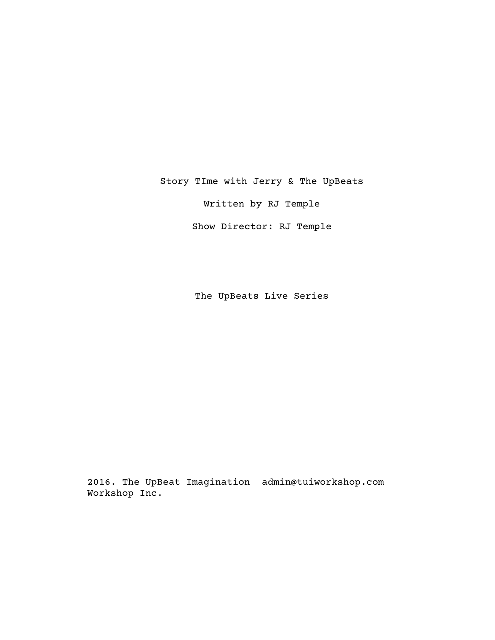Story TIme with Jerry & The UpBeats

Written by RJ Temple

Show Director: RJ Temple

The UpBeats Live Series

2016. The UpBeat Imagination admin@tuiworkshop.comWorkshop Inc.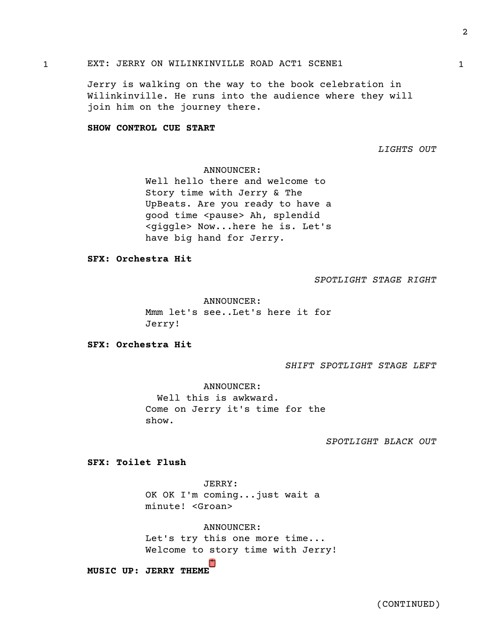# 1 1 EXT: JERRY ON WILINKINVILLE ROAD ACT1 SCENE1

Jerry is walking on the way to the book celebration in Wilinkinville. He runs into the audience where they will join him on the journey there.

#### **SHOW CONTROL CUE START**

*LIGHTS OUT*

## ANNOUNCER:

Well hello there and welcome to Story time with Jerry & The UpBeats. Are you ready to have a good time <pause> Ah, splendid <giggle> Now...here he is. Let's have big hand for Jerry.

**SFX: Orchestra Hit**

*SPOTLIGHT STAGE RIGHT*

ANNOUNCER: Mmm let's see..Let's here it for Jerry!

**SFX: Orchestra Hit**

*SHIFT SPOTLIGHT STAGE LEFT*

ANNOUNCER: Well this is awkward. Come on Jerry it's time for the show.

*SPOTLIGHT BLACK OUT*

**SFX: Toilet Flush**

JERRY: OK OK I'm coming...just wait a minute! <Groan>

ANNOUNCER: Let's try this one more time... Welcome to story time with Jerry!

ו"ו **MUSIC UP: JERRY THEME**

(CONTINUED)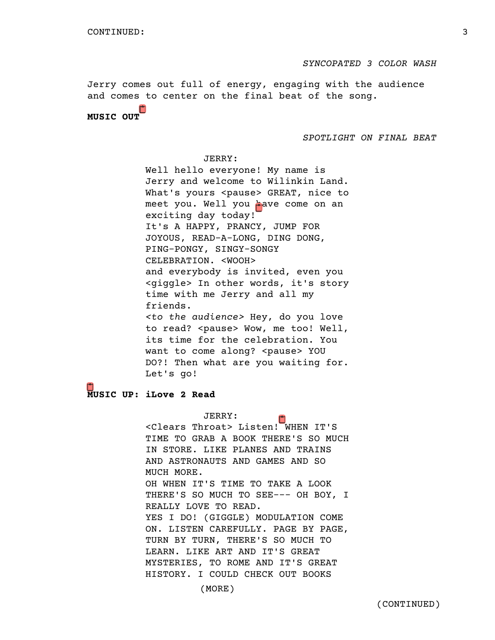*SYNCOPATED 3 COLOR WASH*

Jerry comes out full of energy, engaging with the audience and comes to center on the final beat of the song.

**MUSIC OUT**

*SPOTLIGHT ON FINAL BEAT*

JERRY: Well hello everyone! My name is Jerry and welcome to Wilinkin Land. What's yours <pause> GREAT, nice to meet you. Well you have come on an exciting day today! It's A HAPPY, PRANCY, JUMP FOR JOYOUS, READ-A-LONG, DING DONG, PING-PONGY, SINGY-SONGY CELEBRATION. <WOOH> and everybody is invited, even you <giggle> In other words, it's story time with me Jerry and all my friends. *<to the audience>* Hey, do you love to read? <pause> Wow, me too! Well, its time for the celebration. You want to come along? <pause> YOU DO?! Then what are you waiting for. Let's go!

**MUSIC UP: iLove 2 Read**

JERRY: <Clears Throat> Listen! WHEN IT'S TIME TO GRAB A BOOK THERE'S SO MUCH IN STORE. LIKE PLANES AND TRAINS AND ASTRONAUTS AND GAMES AND SO MUCH MORE. OH WHEN IT'S TIME TO TAKE A LOOK THERE'S SO MUCH TO SEE--- OH BOY, I REALLY LOVE TO READ. YES I DO! (GIGGLE) MODULATION COME ON. LISTEN CAREFULLY. PAGE BY PAGE, TURN BY TURN, THERE'S SO MUCH TO LEARN. LIKE ART AND IT'S GREAT MYSTERIES, TO ROME AND IT'S GREAT HISTORY. I COULD CHECK OUT BOOKS

(MORE)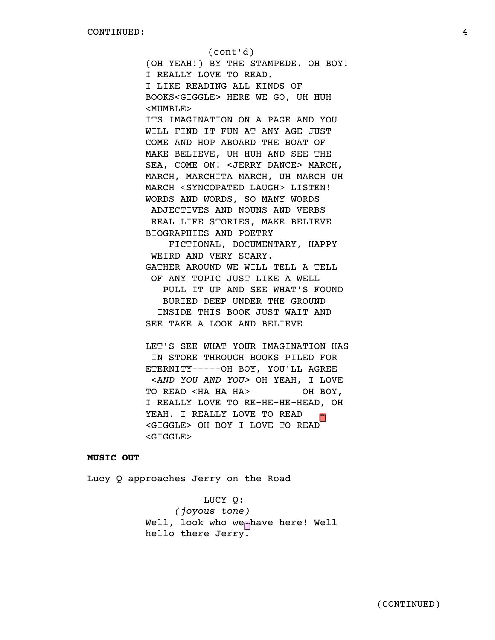(cont'd) (OH YEAH!) BY THE STAMPEDE. OH BOY! I REALLY LOVE TO READ. I LIKE READING ALL KINDS OF BOOKS<GIGGLE> HERE WE GO, UH HUH <MUMBLE> ITS IMAGINATION ON A PAGE AND YOU WILL FIND IT FUN AT ANY AGE JUST COME AND HOP ABOARD THE BOAT OF MAKE BELIEVE, UH HUH AND SEE THE SEA, COME ON! <JERRY DANCE> MARCH, MARCH, MARCHITA MARCH, UH MARCH UH MARCH <SYNCOPATED LAUGH> LISTEN! WORDS AND WORDS, SO MANY WORDS ADJECTIVES AND NOUNS AND VERBS REAL LIFE STORIES, MAKE BELIEVE BIOGRAPHIES AND POETRY FICTIONAL, DOCUMENTARY, HAPPY WEIRD AND VERY SCARY. GATHER AROUND WE WILL TELL A TELL OF ANY TOPIC JUST LIKE A WELL PULL IT UP AND SEE WHAT'S FOUND BURIED DEEP UNDER THE GROUND INSIDE THIS BOOK JUST WAIT AND

SEE TAKE A LOOK AND BELIEVE

LET'S SEE WHAT YOUR IMAGINATION HAS IN STORE THROUGH BOOKS PILED FOR ETERNITY-----OH BOY, YOU'LL AGREE <*AND YOU AND YOU>* OH YEAH, I LOVE TO READ <HA HA HA> OH BOY, I REALLY LOVE TO RE-HE-HE-HEAD, OH YEAH. I REALLY LOVE TO READ <GIGGLE> OH BOY I LOVE TO READ <GIGGLE>

# **MUSIC OUT**

Lucy Q approaches Jerry on the Road

LUCY Q:  *(joyous tone)* Well, look who we<sub>rn</sub>have here! Well hello there Jerry.